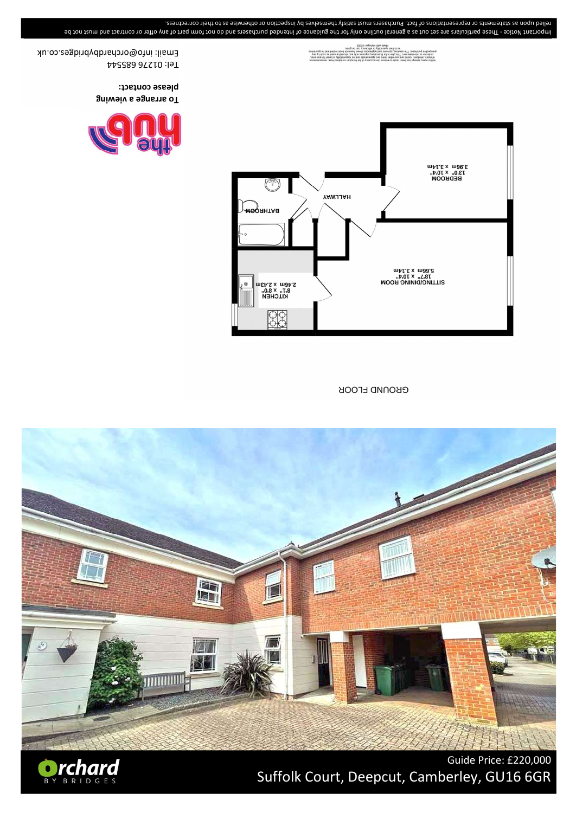

**GROUND FLOOR** 



of doors



please contact: **gniweiv 6 9gnems oT** 

Email: info@orchardbybridges.co.uk Tel: 01276 685544

relied upon as statements or representations of fact. Purchasers must satisfy themselves by inspection or otherwise as to their correctness. Important Notice - These particulars are set out as a general oulline of indance of intended purchasers and do not form part of any offer or contract and her be

## Guide Price: £220,000 Suffolk Court, Deepcut, Camberley, GU16 6GR